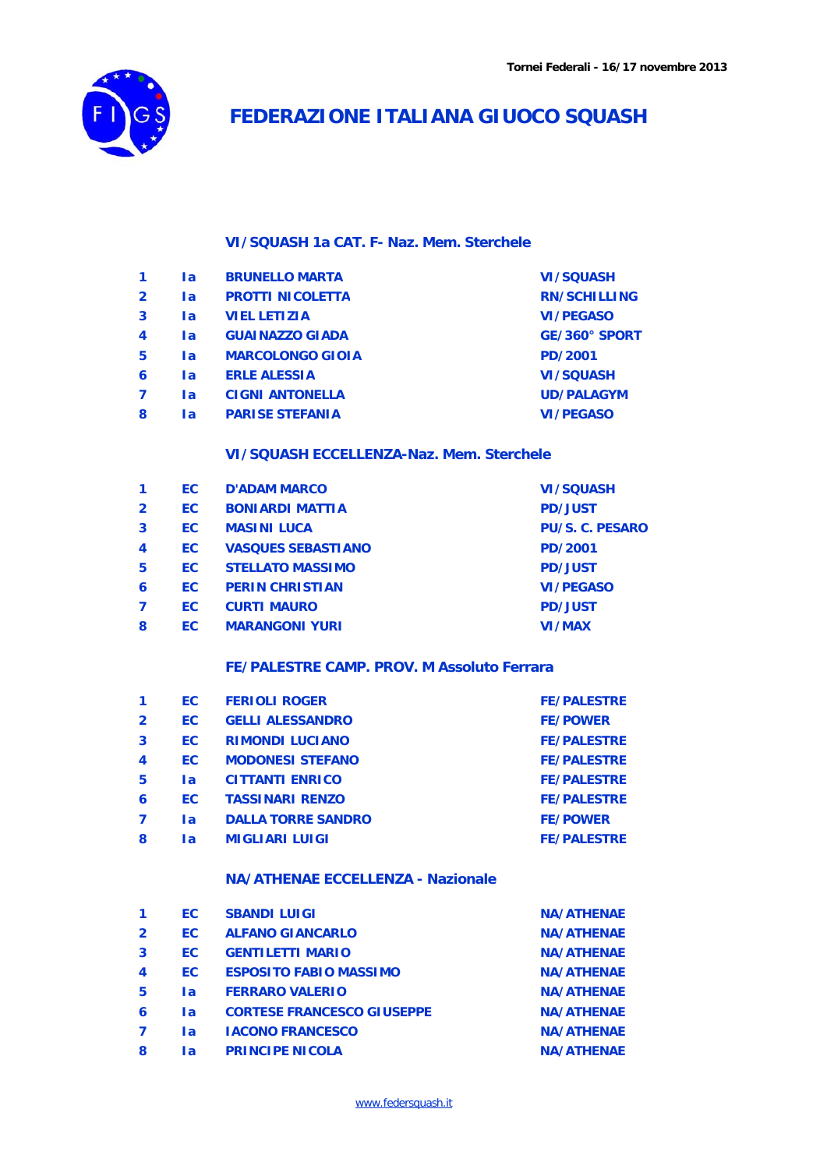

# **FEDERAZIONE ITALIANA GIUOCO SQUASH**

### **VI/SQUASH 1a CAT. F- Naz. Mem. Sterchele**

| 1              | l a       | <b>BRUNELLO MARTA</b>   | <b>VI/SQUASH</b>    |
|----------------|-----------|-------------------------|---------------------|
| $\overline{2}$ | <b>la</b> | <b>PROTTI NICOLETTA</b> | <b>RN/SCHILLING</b> |
| 3              | <b>la</b> | <b>VIEL LETIZIA</b>     | <b>VI/PEGASO</b>    |
| 4              | <b>la</b> | <b>GUAINAZZO GIADA</b>  | GE/360° SPORT       |
| 5              | <b>la</b> | <b>MARCOLONGO GIOIA</b> | PD/2001             |
| 6              | la        | <b>ERLE ALESSIA</b>     | <b>VI/SQUASH</b>    |
| 7              | <b>la</b> | <b>CIGNI ANTONELLA</b>  | <b>UD/PALAGYM</b>   |
| 8              | la        | <b>PARISE STEFANIA</b>  | <b>VI/PEGASO</b>    |
|                |           |                         |                     |

## **VI/SQUASH ECCELLENZA-Naz. Mem. Sterchele**

|                  | EC. | <b>D'ADAM MARCO</b>       | <b>VI/SQUASH</b>       |
|------------------|-----|---------------------------|------------------------|
| $\overline{2}$   | EC. | <b>BONIARDI MATTIA</b>    | <b>PD/JUST</b>         |
| 3                | EC. | <b>MASINI LUCA</b>        | <b>PU/S. C. PESARO</b> |
| $\boldsymbol{4}$ | EC. | <b>VASQUES SEBASTIANO</b> | <b>PD/2001</b>         |
| 5                | EC. | <b>STELLATO MASSIMO</b>   | <b>PD/JUST</b>         |
| 6                | EC. | <b>PERIN CHRISTIAN</b>    | <b>VI/PEGASO</b>       |
|                  | EC  | <b>CURTI MAURO</b>        | <b>PD/JUST</b>         |
| 8                | EC. | <b>MARANGONI YURI</b>     | <b>VI/MAX</b>          |
|                  |     |                           |                        |

#### **FE/PALESTRE CAMP. PROV. M Assoluto Ferrara**

|                  | EC. | <b>FERIOLI ROGER</b>      | <b>FE/PALESTRE</b> |
|------------------|-----|---------------------------|--------------------|
| $\overline{2}$   | EC. | <b>GELLI ALESSANDRO</b>   | <b>FE/POWER</b>    |
| 3                | EC. | <b>RIMONDI LUCIANO</b>    | <b>FE/PALESTRE</b> |
| $\boldsymbol{4}$ | EC. | <b>MODONESI STEFANO</b>   | <b>FE/PALESTRE</b> |
| 5                | la  | <b>CITTANTI ENRICO</b>    | <b>FE/PALESTRE</b> |
| 6                | EC. | <b>TASSINARI RENZO</b>    | <b>FE/PALESTRE</b> |
| 7                | la  | <b>DALLA TORRE SANDRO</b> | <b>FE/POWER</b>    |
| 8                | la  | <b>MIGLIARI LUIGI</b>     | <b>FE/PALESTRE</b> |

## **NA/ATHENAE ECCELLENZA - Nazionale**

| -1               | EC.       | <b>SBANDI LUIGI</b>               | <b>NA/ATHENAE</b> |
|------------------|-----------|-----------------------------------|-------------------|
| $\overline{2}$   | EC.       | <b>ALFANO GIANCARLO</b>           | <b>NA/ATHENAE</b> |
| 3                | EC.       | <b>GENTILETTI MARIO</b>           | <b>NA/ATHENAE</b> |
| $\boldsymbol{4}$ | EC.       | <b>ESPOSITO FABIO MASSIMO</b>     | <b>NA/ATHENAE</b> |
| 5                | <b>la</b> | <b>FERRARO VALERIO</b>            | <b>NA/ATHENAE</b> |
| 6                | l a       | <b>CORTESE FRANCESCO GIUSEPPE</b> | <b>NA/ATHENAE</b> |
| $\overline{7}$   | <b>la</b> | <b>IACONO FRANCESCO</b>           | <b>NA/ATHENAE</b> |
| 8                | la        | <b>PRINCIPE NICOLA</b>            | <b>NA/ATHENAE</b> |